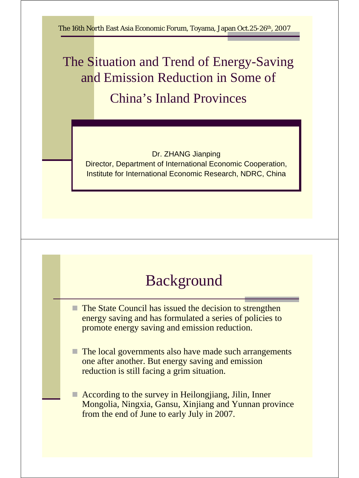The 16th North East Asia Economic Forum, Toyama, Japan Oct.25-26th, 2007

The Situation and Trend of Energy-Saving and Emission Reduction in Some of China's Inland Provinces

> Dr. ZHANG Jianping Director, Department of International Economic Cooperation, Institute for International Economic Research, NDRC, China

## Background

- $\blacksquare$  The State Council has issued the decision to strengthen energy saving and has formulated a series of policies to promote energy saving and emission reduction.
- $\blacksquare$  The local governments also have made such arrangements one after another. But energy saving and emission reduction is still facing a grim situation.
- According to the survey in Heilongjiang, Jilin, Inner Mongolia, Ningxia, Gansu, Xinjiang and Yunnan province from the end of June to early July in 2007.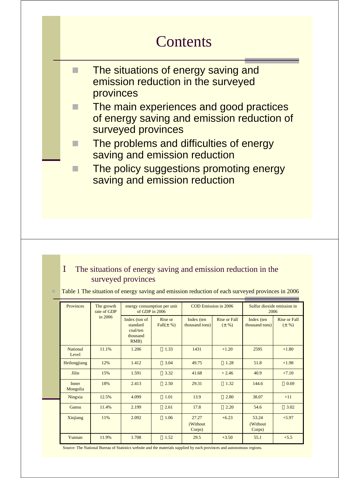

## The situations of energy saving and emission reduction in the surveyed provinces

Table 1 The situation of energy saving and emission reduction of each surveyed provinces in 2006

|  | Provinces                | The growth<br>rate of GDP<br>in $2006$ | energy consumption per unit<br>of GDP in 2006                                |                            | COD Emission in 2006         |                                            | Sulfur dioxide emission in<br>2006 |                                     |
|--|--------------------------|----------------------------------------|------------------------------------------------------------------------------|----------------------------|------------------------------|--------------------------------------------|------------------------------------|-------------------------------------|
|  |                          |                                        | Index (ton of<br>standard<br>$\text{coal}/\text{ten}$<br>thousand<br>$RMB$ ) | Rise or<br>Fall $(\pm \%)$ | Index (ten<br>thousand tons) | <b>Rise or Fall</b><br>$(\pm \frac{9}{6})$ | Index (ten<br>thousand tons)       | Rise or Fall<br>$(\pm \frac{9}{6})$ |
|  | <b>National</b><br>Level | 11.1%                                  | 1.206                                                                        | 1.33                       | 1431                         | $+1.20$                                    | 2595                               | $+1.80$                             |
|  | Heilongjiang             | 12%                                    | 1.412                                                                        | 3.04                       | 49.75                        | 1.28                                       | 51.8                               | $+1.98$                             |
|  | <b>Jilin</b>             | 15%                                    | 1.591                                                                        | 3.32                       | 41.68                        | $+2.46$                                    | 40.9                               | $+7.10$                             |
|  | <b>Inner</b><br>Mongolia | 18%                                    | 2.413                                                                        | 2.50                       | 29.31                        | 1.32                                       | 144.6                              | 0.69                                |
|  | Ningxia                  | 12.5%                                  | 4.099                                                                        | 1.01                       | 13.9                         | 2.80                                       | 38.07                              | $+11$                               |
|  | Gansu                    | 11.4%                                  | 2.199                                                                        | 2.61                       | 17.8                         | 2.20                                       | 54.6                               | 3.02                                |
|  | <b>Xinjiang</b>          | 11%                                    | 2.092                                                                        | 1.06                       | 27.27<br>(Without)<br>Corps) | $+6.23$                                    | 53.24<br>(Without)<br>Corps)       | $+5.97$                             |
|  | Yunnan                   | 11.9%                                  | 1.708                                                                        | 1.52                       | 29.5                         | $+3.50$                                    | 55.1                               | $+5.5$                              |

Source: The National Bureau of Statistics website and the materials supplied by each provinces and autonomous regions.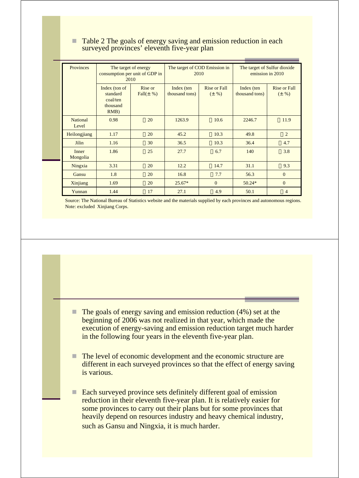## **Table 2 The goals of energy saving and emission reduction in each** surveyed provinces' eleventh five-year plan

|  | Provinces                | The target of energy<br>consumption per unit of GDP in<br>2010 |                           | The target of COD Emission in<br>2010 |                            | The target of Sulfur dioxide<br>emission in 2010 |                                     |  |  |
|--|--------------------------|----------------------------------------------------------------|---------------------------|---------------------------------------|----------------------------|--------------------------------------------------|-------------------------------------|--|--|
|  |                          | Index (ton of<br>standard<br>coal/ten<br>thousand<br>$RMB$ )   | Rise or<br>$Fall(\pm \%)$ | Index (ten<br>thousand tons)          | Rise or Fall<br>$(\pm \%)$ | Index (ten<br>thousand tons)                     | Rise or Fall<br>$(\pm \frac{9}{6})$ |  |  |
|  | <b>National</b><br>Level | 0.98                                                           | 20                        | 1263.9                                | 10.6                       | 2246.7                                           | 11.9                                |  |  |
|  | Heilongjiang             | 1.17                                                           | 20                        | 45.2                                  | 10.3                       | 49.8                                             | $\overline{c}$                      |  |  |
|  | Jilin                    | 1.16                                                           | 30                        | 36.5                                  | 10.3                       | 36.4                                             | 4.7                                 |  |  |
|  | Inner<br>Mongolia        | 1.86                                                           | 25                        | 27.7                                  | 6.7                        | 140                                              | 3.8                                 |  |  |
|  | Ningxia                  | 3.31                                                           | 20                        | 12.2                                  | 14.7                       | 31.1                                             | 9.3                                 |  |  |
|  | Gansu                    | 1.8                                                            | 20                        | 16.8                                  | 7.7                        | 56.3                                             | $\mathbf{0}$                        |  |  |
|  | <b>Xinjiang</b>          | 1.69                                                           | 20                        | $25.67*$                              | $\Omega$                   | $50.24*$                                         | $\overline{0}$                      |  |  |
|  | Yunnan                   | 1.44                                                           | 17                        | 27.1                                  | 4.9                        | 50.1                                             | $\overline{4}$                      |  |  |

Source: The National Bureau of Statistics website and the materials supplied by each provinces and autonomous regions. Note: excluded Xinjiang Corps.

- $\Box$  The goals of energy saving and emission reduction (4%) set at the beginning of 2006 was not realized in that year, which made the execution of energy-saving and emission reduction target much harder in the following four years in the eleventh five-year plan.
- The level of economic development and the economic structure are different in each surveyed provinces so that the effect of energy saving is various.
- Each surveyed province sets definitely different goal of emission reduction in their eleventh five-year plan. It is relatively easier for some provinces to carry out their plans but for some provinces that heavily depend on resources industry and heavy chemical industry, such as Gansu and Ningxia, it is much harder.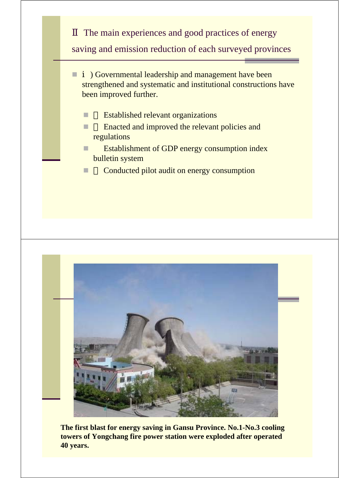The main experiences and good practices of energy saving and emission reduction of each surveyed provinces

 ) Governmental leadership and management have been strengthened and systematic and institutional constructions have been improved further.

- **Established relevant organizations**
- **Enacted and improved the relevant policies and** regulations
- **Establishment of GDP energy consumption index** bulletin system
- **Conducted pilot audit on energy consumption**



**The first blast for energy saving in Gansu Province. No.1-No.3 cooling towers of Yongchang fire power station were exploded after operated 40 years.**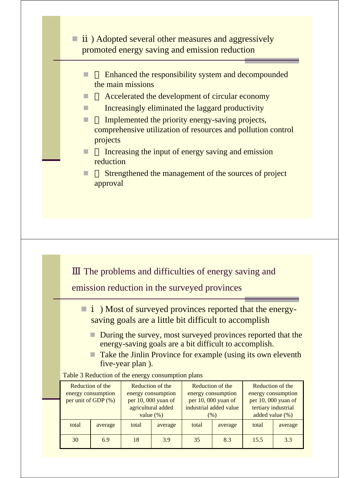**1** Adopted several other measures and aggressively promoted energy saving and emission reduction

- **Enhanced the responsibility system and decompounded** the main missions
- **EXECUTE:** Accelerated the development of circular economy
- Increasingly eliminated the laggard productivity
- **Implemented the priority energy-saving projects,** comprehensive utilization of resources and pollution control projects
- Increasing the input of energy saving and emission reduction

**Strengthened the management of the sources of project** approval

The problems and difficulties of energy saving and

emission reduction in the surveyed provinces

- **I.** ) Most of surveyed provinces reported that the energysaving goals are a little bit difficult to accomplish
	- **During the survey, most surveyed provinces reported that the** energy-saving goals are a bit difficult to accomplish.
	- $\blacksquare$  Take the Jinlin Province for example (using its own eleventh five-year plan ).

Table 3 Reduction of the energy consumption plans

| Reduction of the<br>energy consumption |         | Reduction of the<br>energy consumption                   |         | Reduction of the<br>energy consumption                |         | Reduction of the<br>energy consumption                       |         |
|----------------------------------------|---------|----------------------------------------------------------|---------|-------------------------------------------------------|---------|--------------------------------------------------------------|---------|
| per unit of GDP $(\%)$                 |         | per 10,000 yuan of<br>agricultural added<br>value $(\%)$ |         | per $10,000$ yuan of<br>industrial added value<br>(%) |         | per 10,000 yuan of<br>tertiary industrial<br>added value (%) |         |
| total                                  | average | total                                                    | average | total                                                 | average | total                                                        | average |
| 30                                     | 6.9     | 18                                                       | 3.9     | 35                                                    | 8.3     | 15.5                                                         | 3.3     |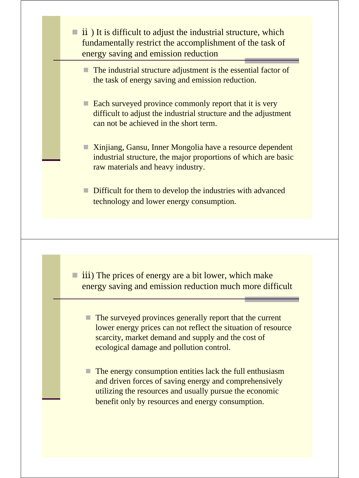- $\blacksquare$ ) It is difficult to adjust the industrial structure, which fundamentally restrict the accomplishment of the task of energy saving and emission reduction  $\Box$  The industrial structure adjustment is the essential factor of the task of energy saving and emission reduction.  $\Box$  Each surveyed province commonly report that it is very difficult to adjust the industrial structure and the adjustment can not be achieved in the short term. ■ Xinjiang, Gansu, Inner Mongolia have a resource dependent industrial structure, the major proportions of which are basic raw materials and heavy industry. Difficult for them to develop the industries with advanced technology and lower energy consumption. **T** The prices of energy are a bit lower, which make energy saving and emission reduction much more difficult  $\blacksquare$  The surveyed provinces generally report that the current lower energy prices can not reflect the situation of resource
	- scarcity, market demand and supply and the cost of ecological damage and pollution control.
	- $\Box$  The energy consumption entities lack the full enthusiasm and driven forces of saving energy and comprehensively utilizing the resources and usually pursue the economic benefit only by resources and energy consumption.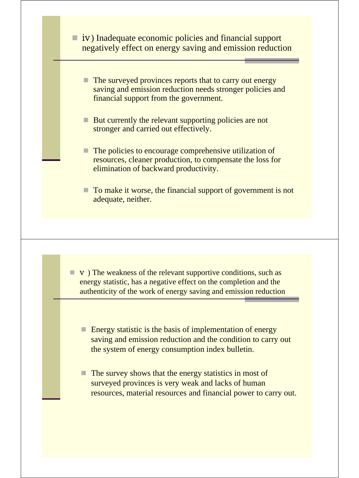

resources, material resources and financial power to carry out.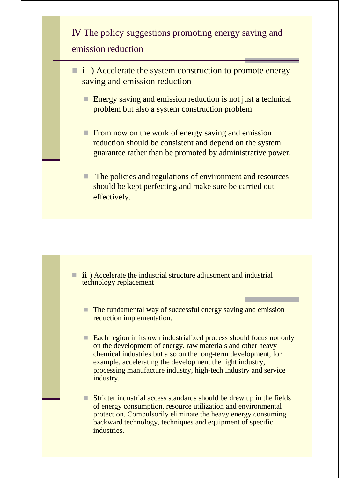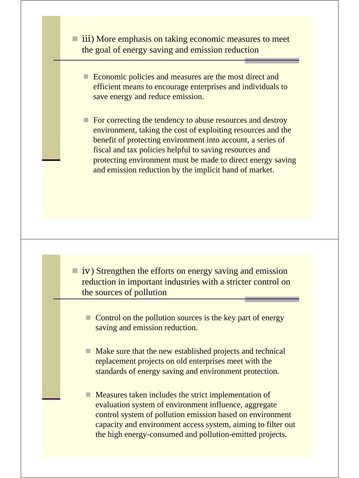**I.** ) More emphasis on taking economic measures to meet the goal of energy saving and emission reduction

- Economic policies and measures are the most direct and efficient means to encourage enterprises and individuals to save energy and reduce emission.
- $\Box$  For correcting the tendency to abuse resources and destroy environment, taking the cost of exploiting resources and the benefit of protecting environment into account, a series of fiscal and tax policies helpful to saving resources and protecting environment must be made to direct energy saving and emission reduction by the implicit hand of market.

**I** Strengthen the efforts on energy saving and emission reduction in important industries with a stricter control on the sources of pollution

- $\Box$  Control on the pollution sources is the key part of energy saving and emission reduction.
- $\Box$  Make sure that the new established projects and technical replacement projects on old enterprises meet with the standards of energy saving and environment protection.
- $\Box$  Measures taken includes the strict implementation of evaluation system of environment influence, aggregate control system of pollution emission based on environment capacity and environment access system, aiming to filter out the high energy-consumed and pollution-emitted projects.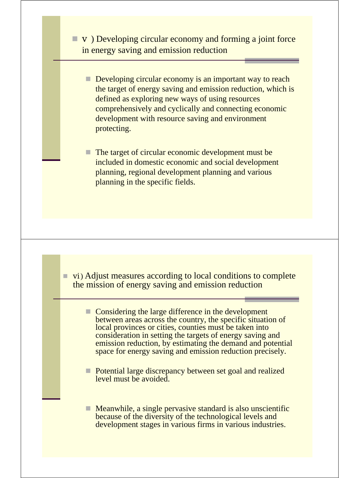- **Developing circular economy and forming a joint force** in energy saving and emission reduction
	- $\Box$  Developing circular economy is an important way to reach the target of energy saving and emission reduction, which is defined as exploring new ways of using resources comprehensively and cyclically and connecting economic development with resource saving and environment protecting.
	- The target of circular economic development must be included in domestic economic and social development planning, regional development planning and various planning in the specific fields.

**1** Adjust measures according to local conditions to complete the mission of energy saving and emission reduction

- $\Box$  Considering the large difference in the development between areas across the country, the specific situation of local provinces or cities, counties must be taken into consideration in setting the targets of energy saving and emission reduction, by estimating the demand and potential space for energy saving and emission reduction precisely.
- **Potential large discrepancy between set goal and realized** level must be avoided.

 $\Box$  Meanwhile, a single pervasive standard is also unscientific because of the diversity of the technological levels and development stages in various firms in various industries.